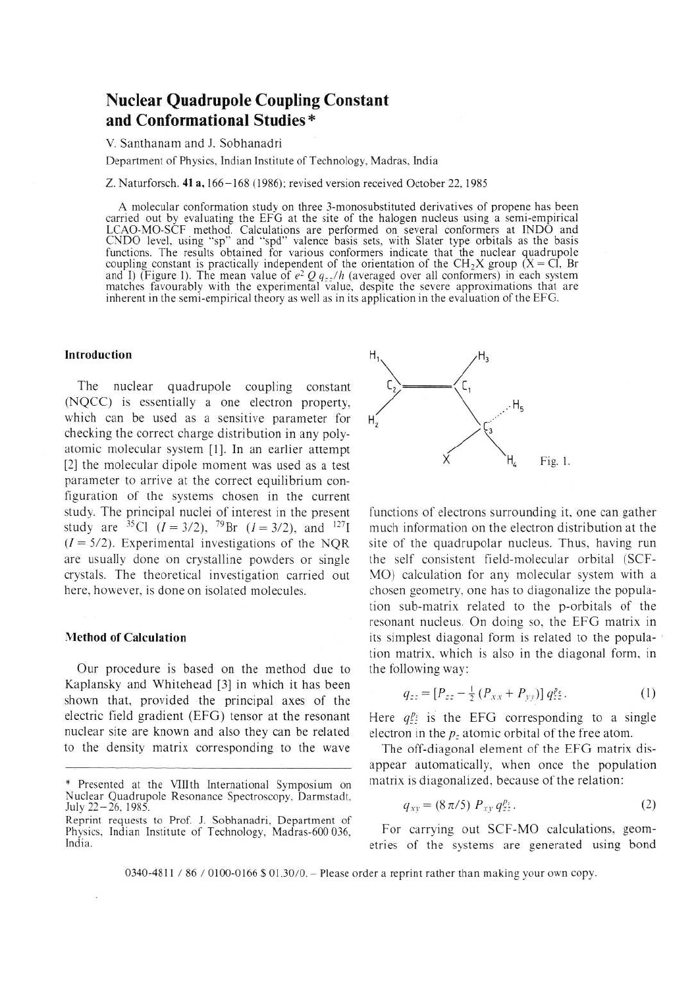# **Nuclear Quadrupole Coupling Constant and Conformational Studies\***

V. Santhanam and J. Sobhanadri

**Department of Physics, Indian Institute of Technology, Madras, India**

**Z. Naturforsch. 41 a, 166-168 (1986); revised version received October 22, 1985**

A molecular conformation study on three 3-monosubstituted derivatives of propene has been **carried out by evaluating the EFG at the site of the halogen nucleus using a semi-empirical LCAO-MO-SCF method. Calculations are performed on several conformers at INDO and CNDO level, using "sp" and "spd" valence basis sets, with Slater type orbitals as the basis functions. The results obtained for various conformers indicate that the nuclear quadrupole** coupling constant is practically independent of the orientation of the CH<sub>2</sub>X group (X = Cl, Br and I) (Figure 1). The mean value of  $e^2 Q q_{zz}/h$  (averaged over all conformers) in each system **matches favourably with the experimental value, despite the severe approximations that are** inherent in the semi-empirical theory as well as in its application in the evaluation of the EFG.

## **Introduction**

The nuclear quadrupole coupling constant (NQCC) is essentially a one electron property, which can be used as a sensitive parameter for checking the correct charge distribution in any polyatomic molecular system [1], In an earlier attempt [2] the molecular dipole moment was used as a test parameter to arrive at the correct equilibrium configuration of the systems chosen in the current study. The principal nuclei of interest in the present study are <sup>35</sup>Cl  $(I = 3/2)$ , <sup>79</sup>Br  $(I = 3/2)$ , and <sup>127</sup>I  $(I = 5/2)$ . Experimental investigations of the NOR are usually done on crystalline powders or single crystals. The theoretical investigation carried out here, however, is done on isolated molecules.

#### **Method of Calculation**

Our procedure is based on the method due to Kaplansky and Whitehead [3] in which it has been shown that, provided the principal axes of the electric field gradient (EFG) tensor at the resonant nuclear site are known and also they can be related to the density matrix corresponding to the wave



functions of electrons surrounding it, one can gather much information on the electron distribution at the site of the quadrupolar nucleus. Thus, having run the self consistent field-molecular orbital (SCF-MO) calculation for any molecular system with a chosen geometry, one has to diagonalize the population sub-matrix related to the p-orbitals of the resonant nucleus. On doing so, the EFG matrix in its simplest diagonal form is related to the population matrix, which is also in the diagonal form, in the following way:

$$
q_{zz} = [P_{zz} - \frac{1}{2} (P_{xx} + P_{yy})] q_{zz}^{p_z}.
$$
 (1)

Here  $q_i^p$  is the EFG corresponding to a single electron in the *p:* atomic orbital of the free atom.

The off-diagonal element of the EFG matrix disappear automatically, when once the population matrix is diagonalized. because of the relation:

$$
q_{xy} = (8\pi/5) P_{xy} q_{zz}^{p_z}.
$$
 (2)

For carrying out SCF-MO calculations, geometries of the systems are generated using bond

**0340-4811 / 86 / 0100-0166 \$ 01.30/0. - Please order a reprint rather than making your own copy.**

**<sup>\*</sup> Presented at the VTIIth International Symposium on Nuclear Quadrupole Resonance Spectroscopy, Darmstadt,** July 22-26, 1985.

**Reprint requests to Prof. J. Sobhanadri, Department of Physics, Indian Institute of Technology, Madras-600 036. India.**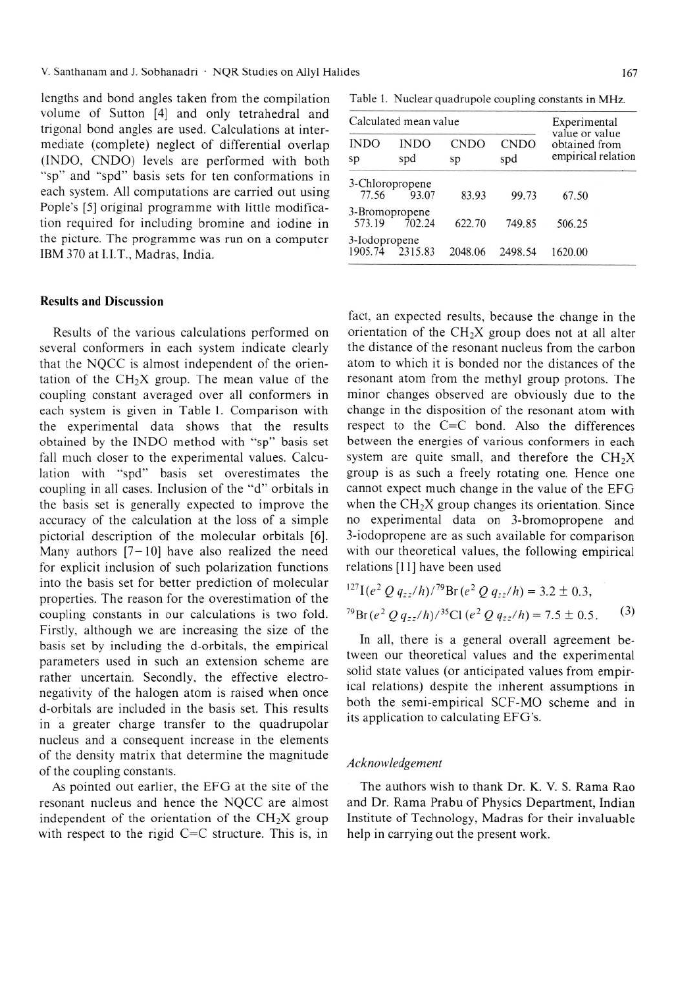lengths and bond angles taken from the compilation volume of Sutton [4] and only tetrahedral and trigonal bond angles are used. Calculations at intermediate (complete) neglect of differential overlap (INDO, CNDO) levels are performed with both "sp" and "spd" basis sets for ten conformations in each system. All computations are carried out using Pople's [5] original programme with little modification required for including bromine and iodine in the picture. The programme was run on a computer IBM 370 at I.I.T., Madras, India.

## Results and Discussion

Results of the various calculations performed on several conformers in each system indicate clearly that the NQCC is almost independent of the orientation of the  $CH<sub>2</sub>X$  group. The mean value of the coupling constant averaged over all conformers in each system is given in Table 1. Comparison with the experimental data shows that the results obtained by the INDO method with "sp" basis set fall much closer to the experimental values. Calculation with "spd" basis set overestimates the coupling in all cases. Inclusion of the "d" orbitals in the basis set is generally expected to improve the accuracy of the calculation at the loss of a simple pictorial description of the molecular orbitals [6]. Many authors  $[7-10]$  have also realized the need for explicit inclusion of such polarization functions into the basis set for better prediction of molecular properties. The reason for the overestimation of the coupling constants in our calculations is two fold. Firstly, although we are increasing the size of the basis set by including the d-orbitals, the empirical parameters used in such an extension scheme are rather uncertain. Secondly, the effective electronegativity of the halogen atom is raised when once d-orbitals are included in the basis set. This results in a greater charge transfer to the quadrupolar nucleus and a consequent increase in the elements of the density matrix that determine the magnitude of the coupling constants.

As pointed out earlier, the EFG at the site of the resonant nucleus and hence the NQCC are almost independent of the orientation of the  $CH<sub>2</sub>X$  group with respect to the rigid  $C=C$  structure. This is, in

**Table 1. Nuclear quadrupole coupling constants in MHz.**

| Calculated mean value    |                    |                   |                    | Experimental                                          |
|--------------------------|--------------------|-------------------|--------------------|-------------------------------------------------------|
| <b>INDO</b><br>sp        | <b>INDO</b><br>spd | <b>CNDO</b><br>sp | <b>CNDO</b><br>spd | value or value<br>obtained from<br>empirical relation |
| 3-Chloropropene<br>77.56 | 93.07              | 83.93             | 99.73              | 67.50                                                 |
| 3-Bromopropene<br>573.19 | 702.24             | 622.70            | 749.85             | 506.25                                                |
| 3-Iodopropene            | 1905.74 2315.83    | 2048.06           | 2498.54            | 1620.00                                               |

fact, an expected results, because the change in the orientation of the  $CH<sub>2</sub>X$  group does not at all alter the distance of the resonant nucleus from the carbon atom to which it is bonded nor the distances of the resonant atom from the methyl group protons. The minor changes observed are obviously due to the change in the disposition of the resonant atom with respect to the C=C bond. Also the differences between the energies of various conformers in each system are quite small, and therefore the  $CH<sub>2</sub>X$ group is as such a freely rotating one. Hence one cannot expect much change in the value of the EFG when the  $CH<sub>2</sub>X$  group changes its orientation. Since no experimental data on 3-bromopropene and 3-iodopropene are as such available for comparison with our theoretical values, the following empirical relations [11] have been used

$$
{}^{127}\text{I}(e^2 \, Q \, q_{zz}/h) / {}^{79}\text{Br}(e^2 \, Q \, q_{zz}/h) = 3.2 \pm 0.3,
$$
\n
$$
{}^{79}\text{Br}(e^2 \, Q \, q_{zz}/h) / {}^{35}\text{Cl}(e^2 \, Q \, q_{zz}/h) = 7.5 \pm 0.5.
$$
\n(3)

In all, there is a general overall agreement between our theoretical values and the experimental solid state values (or anticipated values from empirical relations) despite the inherent assumptions in both the semi-empirical SCF-MO scheme and in its application to calculating EFG's.

### *Acknowledgement*

The authors wish to thank Dr. K. V. S. Rama Rao and Dr. Rama Prabu of Physics Department, Indian Institute of Technology, Madras for their invaluable help in carrying out the present work.